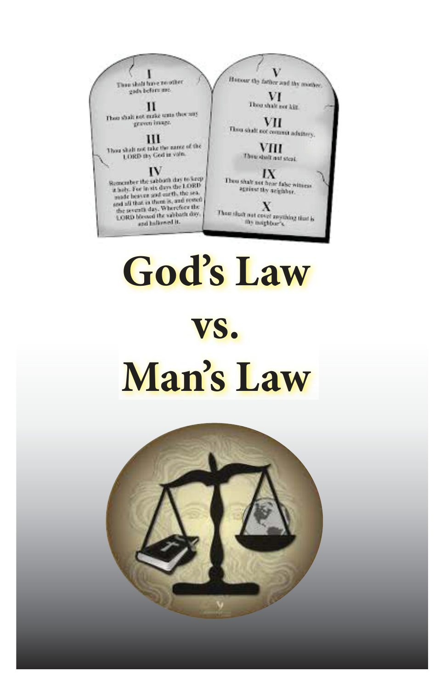V ١ Honour thy father and thy minber Thus shall fire resulter gads before me. VI Thou shall not kit.  $_{\rm H}$ These shall not make unto the cony VП graven image. Thou shall not commit adultery. Ш Thou shall not take the name of the  $\displaystyle \mathop{\bf VII}_{\bf Dwabdust,autstat}$ LORD thy God in value.  $IV$ IX Remember the subbath day to keep<br>a haly. For in six days the LORD Thou shall not hear false witness string thy seighbar. a haly. For in six days use the sea.<br>made beaven and ourth, the sea. made beaven are there is, and rested the seventh day. Wherefore the Х Then shaft not coupl anything that is the seventh day.<br>LORD blessed the subback day. and hallowed it. thy mighbar's.

# **God's Law vs. Man's Law**

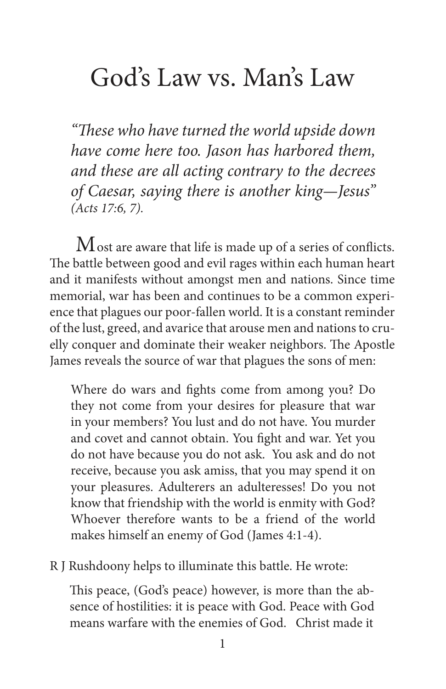## God's Law vs. Man's Law

*"*Th*ese who have turned the world upside down have come here too. Jason has harbored them, and these are all acting contrary to the decrees of Caesar, saying there is another king—Jesus" (Acts 17:6, 7).*

 $\rm M$  ost are aware that life is made up of a series of conflicts. The battle between good and evil rages within each human heart and it manifests without amongst men and nations. Since time memorial, war has been and continues to be a common experience that plagues our poor-fallen world. It is a constant reminder of the lust, greed, and avarice that arouse men and nations to cruelly conquer and dominate their weaker neighbors. The Apostle James reveals the source of war that plagues the sons of men:

Where do wars and fights come from among you? Do they not come from your desires for pleasure that war in your members? You lust and do not have. You murder and covet and cannot obtain. You fight and war. Yet you do not have because you do not ask. You ask and do not receive, because you ask amiss, that you may spend it on your pleasures. Adulterers an adulteresses! Do you not know that friendship with the world is enmity with God? Whoever therefore wants to be a friend of the world makes himself an enemy of God (James 4:1-4).

R J Rushdoony helps to illuminate this battle. He wrote:

This peace, (God's peace) however, is more than the absence of hostilities: it is peace with God. Peace with God means warfare with the enemies of God. Christ made it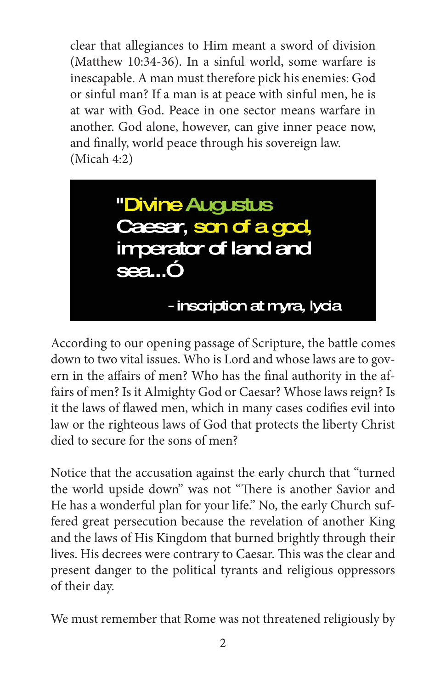clear that allegiances to Him meant a sword of division (Matthew 10:34-36). In a sinful world, some warfare is inescapable. A man must therefore pick his enemies: God or sinful man? If a man is at peace with sinful men, he is at war with God. Peace in one sector means warfare in another. God alone, however, can give inner peace now, and finally, world peace through his sovereign law. (Micah 4:2)



According to our opening passage of Scripture, the battle comes down to two vital issues. Who is Lord and whose laws are to govern in the affairs of men? Who has the final authority in the affairs of men? Is it Almighty God or Caesar? Whose laws reign? Is it the laws of flawed men, which in many cases codifies evil into law or the righteous laws of God that protects the liberty Christ died to secure for the sons of men?

Notice that the accusation against the early church that "turned the world upside down" was not "There is another Savior and He has a wonderful plan for your life." No, the early Church suffered great persecution because the revelation of another King and the laws of His Kingdom that burned brightly through their lives. His decrees were contrary to Caesar. This was the clear and present danger to the political tyrants and religious oppressors of their day.

We must remember that Rome was not threatened religiously by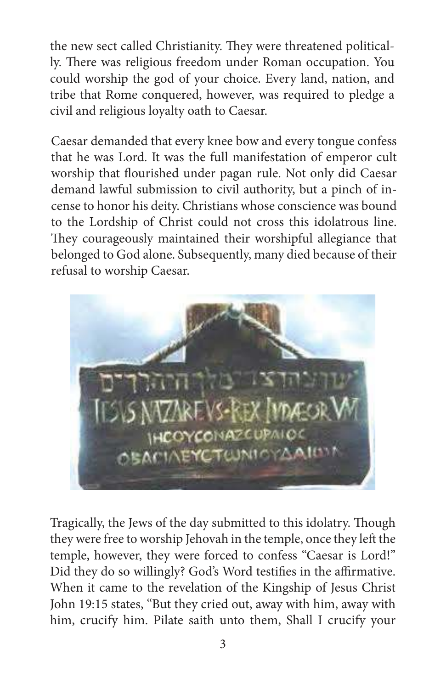the new sect called Christianity. They were threatened politically. There was religious freedom under Roman occupation. You could worship the god of your choice. Every land, nation, and tribe that Rome conquered, however, was required to pledge a civil and religious loyalty oath to Caesar.

Caesar demanded that every knee bow and every tongue confess that he was Lord. It was the full manifestation of emperor cult worship that flourished under pagan rule. Not only did Caesar demand lawful submission to civil authority, but a pinch of incense to honor his deity. Christians whose conscience was bound to the Lordship of Christ could not cross this idolatrous line. They courageously maintained their worshipful allegiance that belonged to God alone. Subsequently, many died because of their refusal to worship Caesar.



Tragically, the Jews of the day submitted to this idolatry. Though they were free to worship Jehovah in the temple, once they left the temple, however, they were forced to confess "Caesar is Lord!" Did they do so willingly? God's Word testifies in the affirmative. When it came to the revelation of the Kingship of Jesus Christ John 19:15 states, "But they cried out, away with him, away with him, crucify him. Pilate saith unto them, Shall I crucify your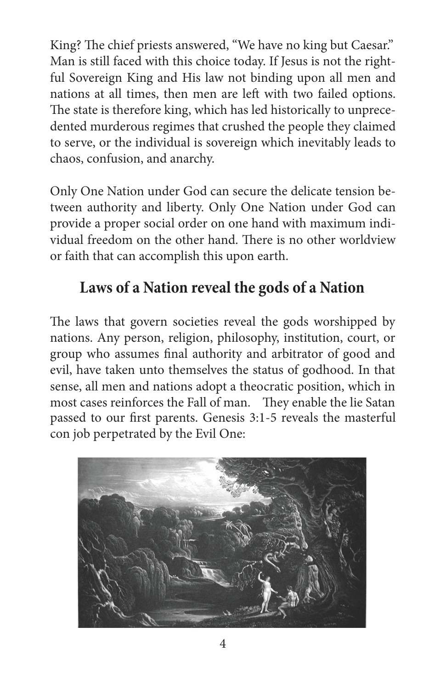King? The chief priests answered, "We have no king but Caesar." Man is still faced with this choice today. If Jesus is not the rightful Sovereign King and His law not binding upon all men and nations at all times, then men are left with two failed options. The state is therefore king, which has led historically to unprecedented murderous regimes that crushed the people they claimed to serve, or the individual is sovereign which inevitably leads to chaos, confusion, and anarchy.

Only One Nation under God can secure the delicate tension between authority and liberty. Only One Nation under God can provide a proper social order on one hand with maximum individual freedom on the other hand. There is no other worldview or faith that can accomplish this upon earth.

#### **Laws of a Nation reveal the gods of a Nation**

The laws that govern societies reveal the gods worshipped by nations. Any person, religion, philosophy, institution, court, or group who assumes final authority and arbitrator of good and evil, have taken unto themselves the status of godhood. In that sense, all men and nations adopt a theocratic position, which in most cases reinforces the Fall of man. They enable the lie Satan passed to our first parents. Genesis 3:1-5 reveals the masterful con job perpetrated by the Evil One:

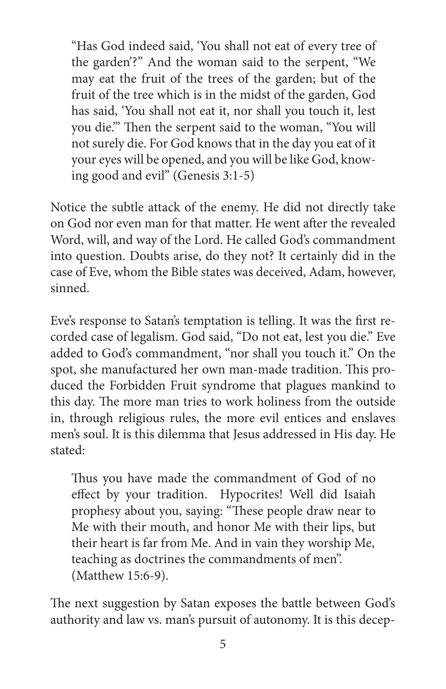"Has God indeed said, 'You shall not eat of every tree of the garden'?" And the woman said to the serpent, "We may eat the fruit of the trees of the garden; but of the fruit of the tree which is in the midst of the garden, God has said, 'You shall not eat it, nor shall you touch it, lest you die.'" Then the serpent said to the woman, "You will not surely die. For God knows that in the day you eat of it your eyes will be opened, and you will be like God, knowing good and evil" (Genesis 3:1-5)

Notice the subtle attack of the enemy. He did not directly take on God nor even man for that matter. He went after the revealed Word, will, and way of the Lord. He called God's commandment into question. Doubts arise, do they not? It certainly did in the case of Eve, whom the Bible states was deceived, Adam, however, sinned.

Eve's response to Satan's temptation is telling. It was the first recorded case of legalism. God said, "Do not eat, lest you die." Eve added to God's commandment, "nor shall you touch it." On the spot, she manufactured her own man-made tradition. This produced the Forbidden Fruit syndrome that plagues mankind to this day. The more man tries to work holiness from the outside in, through religious rules, the more evil entices and enslaves men's soul. It is this dilemma that Jesus addressed in His day. He stated:

Thus you have made the commandment of God of no effect by your tradition. Hypocrites! Well did Isaiah prophesy about you, saying: "These people draw near to Me with their mouth, and honor Me with their lips, but their heart is far from Me. And in vain they worship Me, teaching as doctrines the commandments of men". (Matthew 15:6-9).

The next suggestion by Satan exposes the battle between God's authority and law vs. man's pursuit of autonomy. It is this decep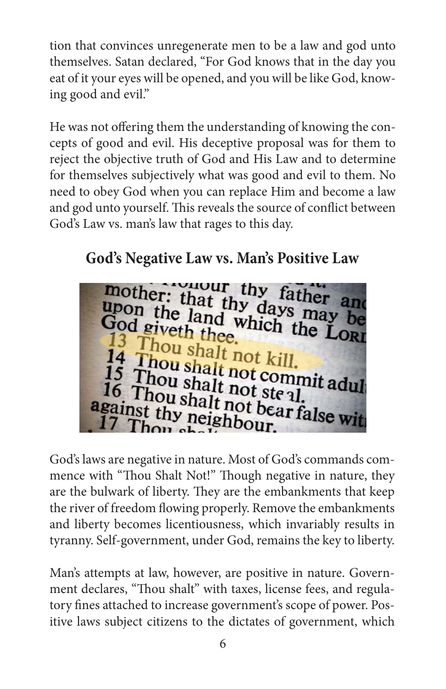tion that convinces unregenerate men to be a law and god unto themselves. Satan declared, "For God knows that in the day you eat of it your eyes will be opened, and you will be like God, knowing good and evil."

He was not offering them the understanding of knowing the concepts of good and evil. His deceptive proposal was for them to reject the objective truth of God and His Law and to determine for themselves subjectively what was good and evil to them. No need to obey God when you can replace Him and become a law and god unto yourself. This reveals the source of conflict between God's Law vs. man's law that rages to this day.



God's laws are negative in nature. Most of God's commands commence with "Thou Shalt Not!" Though negative in nature, they are the bulwark of liberty. They are the embankments that keep the river of freedom flowing properly. Remove the embankments and liberty becomes licentiousness, which invariably results in tyranny. Self-government, under God, remains the key to liberty.

Man's attempts at law, however, are positive in nature. Government declares, "Thou shalt" with taxes, license fees, and regulatory fines attached to increase government's scope of power. Positive laws subject citizens to the dictates of government, which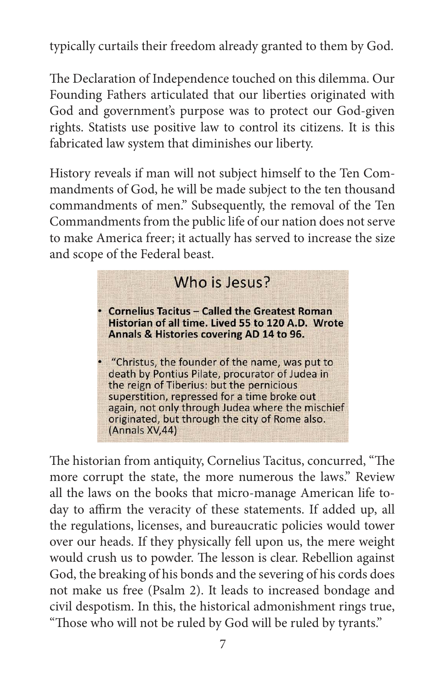typically curtails their freedom already granted to them by God.

The Declaration of Independence touched on this dilemma. Our Founding Fathers articulated that our liberties originated with God and government's purpose was to protect our God-given rights. Statists use positive law to control its citizens. It is this fabricated law system that diminishes our liberty.

History reveals if man will not subject himself to the Ten Commandments of God, he will be made subject to the ten thousand commandments of men." Subsequently, the removal of the Ten Commandments from the public life of our nation does not serve to make America freer; it actually has served to increase the size and scope of the Federal beast.

#### Who is lesus? • Cornelius Tacitus - Called the Greatest Roman Historian of all time. Lived 55 to 120 A.D. Wrote Annals & Histories covering AD 14 to 96. • "Christus, the founder of the name, was put to death by Pontius Pilate, procurator of Judea in the reign of Tiberius: but the pernicious superstition, repressed for a time broke out again, not only through Judea where the mischief originated, but through the city of Rome also. (Annals XV,44)

The historian from antiquity, Cornelius Tacitus, concurred, "The more corrupt the state, the more numerous the laws." Review all the laws on the books that micro-manage American life today to affirm the veracity of these statements. If added up, all the regulations, licenses, and bureaucratic policies would tower over our heads. If they physically fell upon us, the mere weight would crush us to powder. The lesson is clear. Rebellion against God, the breaking of his bonds and the severing of his cords does not make us free (Psalm 2). It leads to increased bondage and civil despotism. In this, the historical admonishment rings true, "Those who will not be ruled by God will be ruled by tyrants."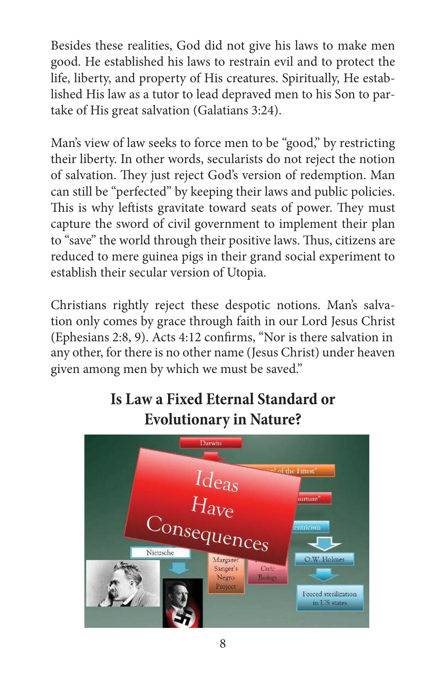Besides these realities, God did not give his laws to make men good. He established his laws to restrain evil and to protect the life, liberty, and property of His creatures. Spiritually, He established His law as a tutor to lead depraved men to his Son to partake of His great salvation (Galatians 3:24).

Man's view of law seeks to force men to be "good," by restricting their liberty. In other words, secularists do not reject the notion of salvation. They just reject God's version of redemption. Man can still be "perfected" by keeping their laws and public policies. This is why leftists gravitate toward seats of power. They must capture the sword of civil government to implement their plan to "save" the world through their positive laws. Thus, citizens are reduced to mere guinea pigs in their grand social experiment to establish their secular version of Utopia.

Christians rightly reject these despotic notions. Man's salvation only comes by grace through faith in our Lord Jesus Christ (Ephesians 2:8, 9). Acts 4:12 confirms, "Nor is there salvation in any other, for there is no other name (Jesus Christ) under heaven given among men by which we must be saved."



### **Is Law a Fixed Eternal Standard or Evolutionary in Nature?**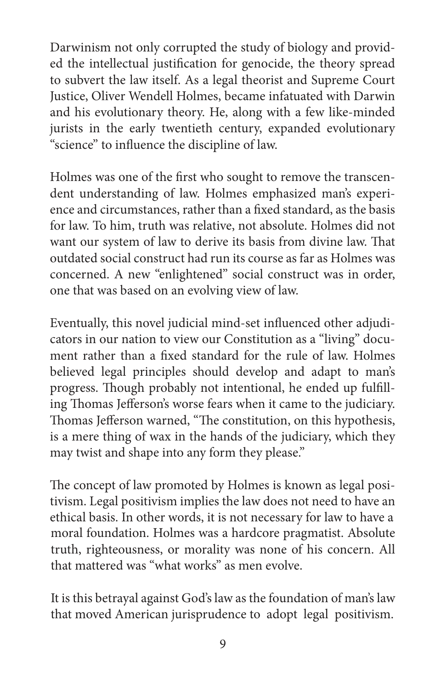Darwinism not only corrupted the study of biology and provided the intellectual justification for genocide, the theory spread to subvert the law itself. As a legal theorist and Supreme Court Justice, Oliver Wendell Holmes, became infatuated with Darwin and his evolutionary theory. He, along with a few like-minded jurists in the early twentieth century, expanded evolutionary "science" to influence the discipline of law.

Holmes was one of the first who sought to remove the transcendent understanding of law. Holmes emphasized man's experience and circumstances, rather than a fixed standard, as the basis for law. To him, truth was relative, not absolute. Holmes did not want our system of law to derive its basis from divine law. That outdated social construct had run its course as far as Holmes was concerned. A new "enlightened" social construct was in order, one that was based on an evolving view of law.

Eventually, this novel judicial mind-set influenced other adjudicators in our nation to view our Constitution as a "living" document rather than a fixed standard for the rule of law. Holmes believed legal principles should develop and adapt to man's progress. Though probably not intentional, he ended up fulfilling Thomas Jefferson's worse fears when it came to the judiciary. Thomas Jefferson warned, "The constitution, on this hypothesis, is a mere thing of wax in the hands of the judiciary, which they may twist and shape into any form they please."

The concept of law promoted by Holmes is known as legal positivism. Legal positivism implies the law does not need to have an ethical basis. In other words, it is not necessary for law to have a moral foundation. Holmes was a hardcore pragmatist. Absolute truth, righteousness, or morality was none of his concern. All that mattered was "what works" as men evolve.

It is this betrayal against God's law as the foundation of man's law that moved American jurisprudence to adopt legal positivism.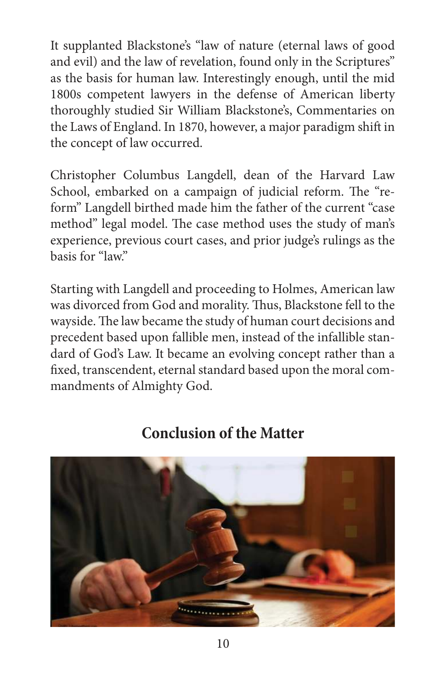It supplanted Blackstone's "law of nature (eternal laws of good and evil) and the law of revelation, found only in the Scriptures" as the basis for human law. Interestingly enough, until the mid 1800s competent lawyers in the defense of American liberty thoroughly studied Sir William Blackstone's, Commentaries on the Laws of England. In 1870, however, a major paradigm shift in the concept of law occurred.

Christopher Columbus Langdell, dean of the Harvard Law School, embarked on a campaign of judicial reform. The "reform" Langdell birthed made him the father of the current "case method" legal model. The case method uses the study of man's experience, previous court cases, and prior judge's rulings as the basis for "law."

Starting with Langdell and proceeding to Holmes, American law was divorced from God and morality. Thus, Blackstone fell to the wayside. The law became the study of human court decisions and precedent based upon fallible men, instead of the infallible standard of God's Law. It became an evolving concept rather than a fixed, transcendent, eternal standard based upon the moral commandments of Almighty God.

#### **Conclusion of the Matter**

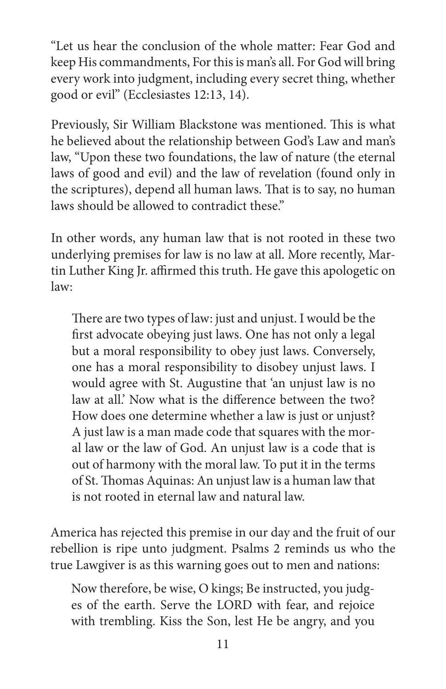"Let us hear the conclusion of the whole matter: Fear God and keep His commandments, For this is man's all. For God will bring every work into judgment, including every secret thing, whether good or evil" (Ecclesiastes 12:13, 14).

Previously, Sir William Blackstone was mentioned. This is what he believed about the relationship between God's Law and man's law, "Upon these two foundations, the law of nature (the eternal laws of good and evil) and the law of revelation (found only in the scriptures), depend all human laws. That is to say, no human laws should be allowed to contradict these."

In other words, any human law that is not rooted in these two underlying premises for law is no law at all. More recently, Martin Luther King Jr. affirmed this truth. He gave this apologetic on law:

There are two types of law: just and unjust. I would be the first advocate obeying just laws. One has not only a legal but a moral responsibility to obey just laws. Conversely, one has a moral responsibility to disobey unjust laws. I would agree with St. Augustine that 'an unjust law is no law at all.' Now what is the difference between the two? How does one determine whether a law is just or unjust? A just law is a man made code that squares with the moral law or the law of God. An unjust law is a code that is out of harmony with the moral law. To put it in the terms of St. Thomas Aquinas: An unjust law is a human law that is not rooted in eternal law and natural law.

America has rejected this premise in our day and the fruit of our rebellion is ripe unto judgment. Psalms 2 reminds us who the true Lawgiver is as this warning goes out to men and nations:

Now therefore, be wise, O kings; Be instructed, you judges of the earth. Serve the LORD with fear, and rejoice with trembling. Kiss the Son, lest He be angry, and you